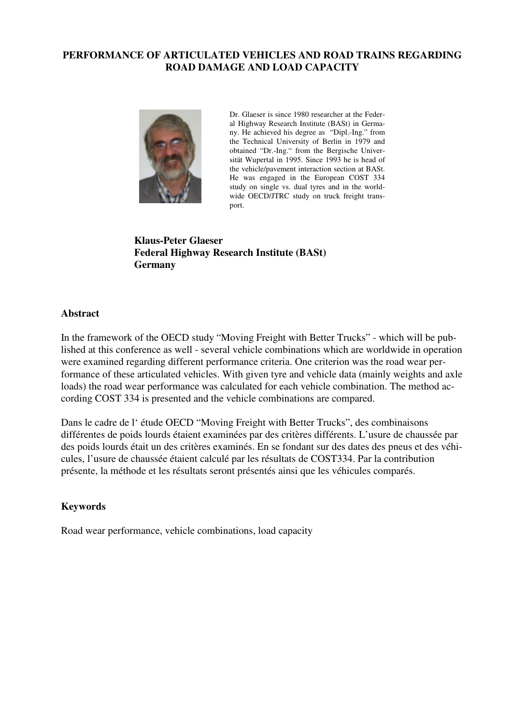### **PERFORMANCE OF ARTICULATED VEHICLES AND ROAD TRAINS REGARDING ROAD DAMAGE AND LOAD CAPACITY**



Dr. Glaeser is since 1980 researcher at the Federal Highway Research Institute (BASt) in Germany. He achieved his degree as "Dipl.-Ing." from the Technical University of Berlin in 1979 and obtained "Dr.-Ing." from the Bergische Universität Wupertal in 1995. Since 1993 he is head of the vehicle/pavement interaction section at BASt. He was engaged in the European COST 334 study on single vs. dual tyres and in the worldwide OECD/JTRC study on truck freight transport.

**Klaus-Peter Glaeser Federal Highway Research Institute (BASt) Germany** 

### **Abstract**

In the framework of the OECD study "Moving Freight with Better Trucks" - which will be published at this conference as well - several vehicle combinations which are worldwide in operation were examined regarding different performance criteria. One criterion was the road wear performance of these articulated vehicles. With given tyre and vehicle data (mainly weights and axle loads) the road wear performance was calculated for each vehicle combination. The method according COST 334 is presented and the vehicle combinations are compared.

Dans le cadre de l' étude OECD "Moving Freight with Better Trucks", des combinaisons différentes de poids lourds étaient examinées par des critères différents. L'usure de chaussée par des poids lourds était un des critères examinés. En se fondant sur des dates des pneus et des véhicules, l'usure de chaussée étaient calculé par les résultats de COST334. Par la contribution présente, la méthode et les résultats seront présentés ainsi que les véhicules comparés.

#### **Keywords**

Road wear performance, vehicle combinations, load capacity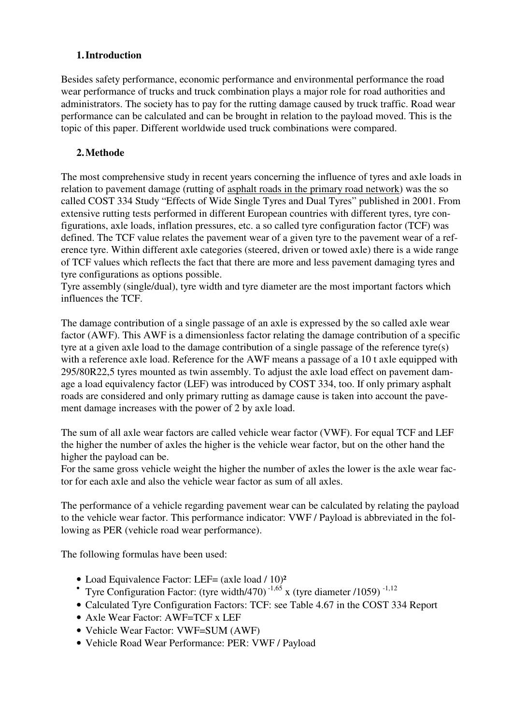### **1.Introduction**

Besides safety performance, economic performance and environmental performance the road wear performance of trucks and truck combination plays a major role for road authorities and administrators. The society has to pay for the rutting damage caused by truck traffic. Road wear performance can be calculated and can be brought in relation to the payload moved. This is the topic of this paper. Different worldwide used truck combinations were compared.

## **2.Methode**

The most comprehensive study in recent years concerning the influence of tyres and axle loads in relation to pavement damage (rutting of asphalt roads in the primary road network) was the so called COST 334 Study "Effects of Wide Single Tyres and Dual Tyres" published in 2001. From extensive rutting tests performed in different European countries with different tyres, tyre configurations, axle loads, inflation pressures, etc. a so called tyre configuration factor (TCF) was defined. The TCF value relates the pavement wear of a given tyre to the pavement wear of a reference tyre. Within different axle categories (steered, driven or towed axle) there is a wide range of TCF values which reflects the fact that there are more and less pavement damaging tyres and tyre configurations as options possible.

Tyre assembly (single/dual), tyre width and tyre diameter are the most important factors which influences the TCF.

The damage contribution of a single passage of an axle is expressed by the so called axle wear factor (AWF). This AWF is a dimensionless factor relating the damage contribution of a specific tyre at a given axle load to the damage contribution of a single passage of the reference tyre(s) with a reference axle load. Reference for the AWF means a passage of a 10 t axle equipped with 295/80R22,5 tyres mounted as twin assembly. To adjust the axle load effect on pavement damage a load equivalency factor (LEF) was introduced by COST 334, too. If only primary asphalt roads are considered and only primary rutting as damage cause is taken into account the pavement damage increases with the power of 2 by axle load.

The sum of all axle wear factors are called vehicle wear factor (VWF). For equal TCF and LEF the higher the number of axles the higher is the vehicle wear factor, but on the other hand the higher the payload can be.

For the same gross vehicle weight the higher the number of axles the lower is the axle wear factor for each axle and also the vehicle wear factor as sum of all axles.

The performance of a vehicle regarding pavement wear can be calculated by relating the payload to the vehicle wear factor. This performance indicator: VWF / Payload is abbreviated in the following as PER (vehicle road wear performance).

The following formulas have been used:

- Load Equivalence Factor: LEF= (axle load / 10)<sup>2</sup>
- Tyre Configuration Factor: (tyre width/470)<sup>-1,65</sup> x (tyre diameter /1059)<sup>-1,12</sup>
- Calculated Tyre Configuration Factors: TCF: see Table 4.67 in the COST 334 Report
- Axle Wear Factor: AWF=TCF x LEF
- Vehicle Wear Factor: VWF=SUM (AWF)
- Vehicle Road Wear Performance: PER: VWF / Payload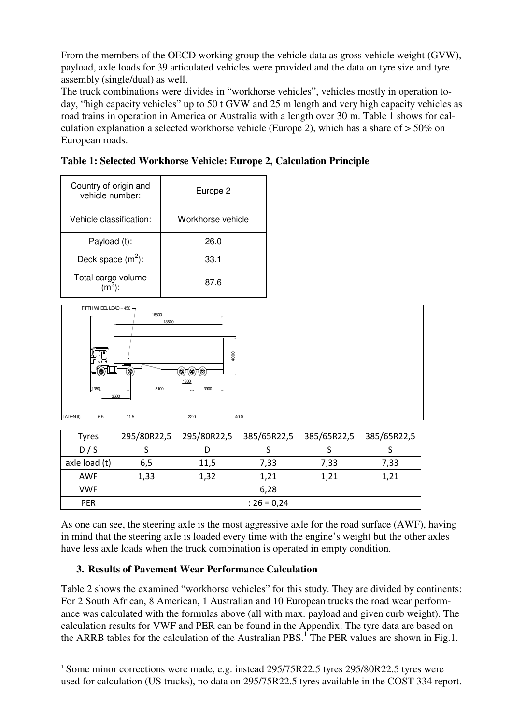From the members of the OECD working group the vehicle data as gross vehicle weight (GVW), payload, axle loads for 39 articulated vehicles were provided and the data on tyre size and tyre assembly (single/dual) as well.

The truck combinations were divides in "workhorse vehicles", vehicles mostly in operation today, "high capacity vehicles" up to 50 t GVW and 25 m length and very high capacity vehicles as road trains in operation in America or Australia with a length over 30 m. Table 1 shows for calculation explanation a selected workhorse vehicle (Europe 2), which has a share of > 50% on European roads.

| Country of origin and<br>vehicle number: | Europe <sub>2</sub> |  |  |
|------------------------------------------|---------------------|--|--|
| Vehicle classification:                  | Workhorse vehicle   |  |  |
| Payload (t):                             | 26.0                |  |  |
| Deck space $(m^2)$ :                     | 33.1                |  |  |
| Total cargo volume                       | 87.6                |  |  |

**Table 1: Selected Workhorse Vehicle: Europe 2, Calculation Principle** 



| <b>Tyres</b>  | 295/80R22,5   | 295/80R22,5 | 385/65R22,5 | 385/65R22,5 | 385/65R22,5 |  |  |
|---------------|---------------|-------------|-------------|-------------|-------------|--|--|
| D/S           |               | D           |             |             |             |  |  |
| axle load (t) | 6,5           | 11,5        | 7,33        | 7,33        | 7,33        |  |  |
| AWF           | 1,33          | 1,32        | 1,21        | 1,21        | 1,21        |  |  |
| <b>VWF</b>    | 6,28          |             |             |             |             |  |  |
| <b>PER</b>    | : $26 = 0,24$ |             |             |             |             |  |  |

As one can see, the steering axle is the most aggressive axle for the road surface (AWF), having in mind that the steering axle is loaded every time with the engine's weight but the other axles have less axle loads when the truck combination is operated in empty condition.

### **3. Results of Pavement Wear Performance Calculation**

 $\overline{a}$ 

Table 2 shows the examined "workhorse vehicles" for this study. They are divided by continents: For 2 South African, 8 American, 1 Australian and 10 European trucks the road wear performance was calculated with the formulas above (all with max. payload and given curb weight). The calculation results for VWF and PER can be found in the Appendix. The tyre data are based on the ARRB tables for the calculation of the Australian PBS.<sup>1</sup> The PER values are shown in Fig.1.

<sup>&</sup>lt;sup>1</sup> Some minor corrections were made, e.g. instead 295/75R22.5 tyres 295/80R22.5 tyres were used for calculation (US trucks), no data on 295/75R22.5 tyres available in the COST 334 report.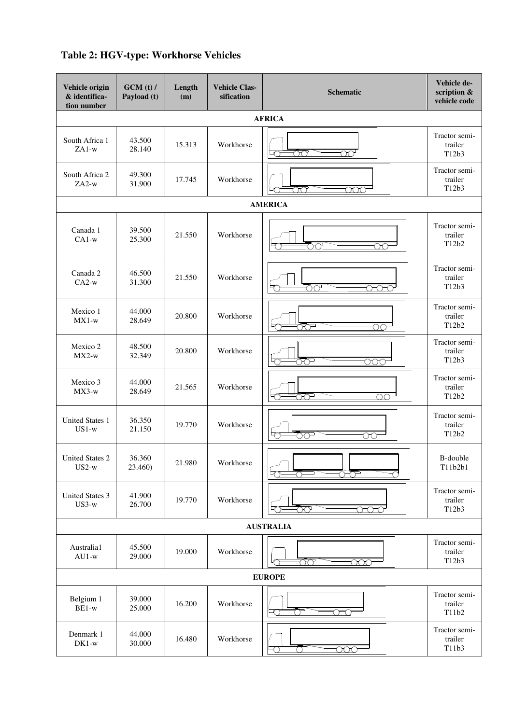# **Table 2: HGV-type: Workhorse Vehicles**

| Vehicle origin<br>& identifica-<br>tion number | GCM(t)/<br>Payload (t) | Length<br>(m) | <b>Vehicle Clas-</b><br>sification | <b>Schematic</b>                                   | Vehicle de-<br>scription &<br>vehicle code |  |  |  |
|------------------------------------------------|------------------------|---------------|------------------------------------|----------------------------------------------------|--------------------------------------------|--|--|--|
|                                                | <b>AFRICA</b>          |               |                                    |                                                    |                                            |  |  |  |
| South Africa 1<br>$ZAI-w$                      | 43.500<br>28.140       | 15.313        | Workhorse                          | <u>රිෆ</u><br>$\infty$                             | Tractor semi-<br>trailer<br>T12b3          |  |  |  |
| South Africa 2<br>$ZA2-w$                      | 49.300<br>31.900       | 17.745        | Workhorse                          | Œ<br>ooc                                           | Tractor semi-<br>trailer<br>T12b3          |  |  |  |
|                                                |                        |               |                                    | <b>AMERICA</b>                                     |                                            |  |  |  |
| Canada 1<br>$CA1-w$                            | 39.500<br>25.300       | 21.550        | Workhorse                          | ਨੋਨ<br>OС                                          | Tractor semi-<br>trailer<br>T12b2          |  |  |  |
| Canada 2<br>$CA2-w$                            | 46.500<br>31.300       | 21.550        | Workhorse                          | 77<br><del>no e</del>                              | Tractor semi-<br>trailer<br>T12b3          |  |  |  |
| Mexico 1<br>$MX1-w$                            | 44.000<br>28.649       | 20.800        | Workhorse                          | ੱੱਦਾ<br>$\overline{\circlearrowright}$             | Tractor semi-<br>trailer<br>T12b2          |  |  |  |
| Mexico 2<br>$MX2-w$                            | 48.500<br>32.349       | 20.800        | Workhorse                          | ŌŌ<br>$\overline{\text{OOO}}$<br>て                 | Tractor semi-<br>trailer<br>T12b3          |  |  |  |
| Mexico 3<br>$MX3-w$                            | 44.000<br>28.649       | 21.565        | Workhorse                          | ਨੱਦ<br>ററ                                          | Tractor semi-<br>trailer<br>T12b2          |  |  |  |
| <b>United States 1</b><br>$US1-w$              | 36.350<br>21.150       | 19.770        | Workhorse                          | 하<br>70<br>$\infty$                                | Tractor semi-<br>trailer<br>T12b2          |  |  |  |
| <b>United States 2</b><br>$US2-w$              | 36.360<br>23.460)      | 21.980        | Workhorse                          | ੋਣਾ                                                | $\operatorname{B-double}$<br>T11b2b1       |  |  |  |
| <b>United States 3</b><br>$US3-w$              | 41.900<br>26.700       | 19.770        | Workhorse                          | $\overline{\text{O}}\text{O}$<br>$\circ\circ\circ$ | Tractor semi-<br>trailer<br>T12b3          |  |  |  |
|                                                |                        |               |                                    | <b>AUSTRALIA</b>                                   |                                            |  |  |  |
| Australia1<br>$AU1-w$                          | 45.500<br>29.000       | 19.000        | Workhorse                          | ŌŌ<br>000                                          | Tractor semi-<br>trailer<br>T12b3          |  |  |  |
|                                                |                        |               |                                    | <b>EUROPE</b>                                      |                                            |  |  |  |
| Belgium 1<br>BE1-w                             | 39.000<br>25.000       | 16.200        | Workhorse                          | ₹<br>€<br>OTO                                      | Tractor semi-<br>trailer<br>T11b2          |  |  |  |
| Denmark 1<br>$DK1-w$                           | 44.000<br>30.000       | 16.480        | Workhorse                          | -0<br>ਨ<br><u>000 </u>                             | Tractor semi-<br>trailer<br>T11b3          |  |  |  |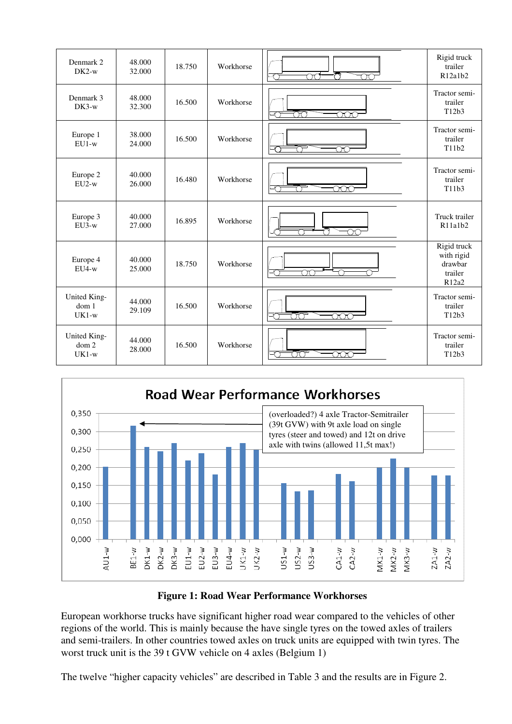| Denmark 2<br>$DK2-w$                        | 48.000<br>32.000 | 18.750 | Workhorse | od<br>⌒<br>$\overline{\mathcal{C}}$<br>$\infty$ | Rigid truck<br>trailer<br>R12a1b2                        |
|---------------------------------------------|------------------|--------|-----------|-------------------------------------------------|----------------------------------------------------------|
| Denmark 3<br>$DK3-w$                        | 48.000<br>32.300 | 16.500 | Workhorse | ರಿರ<br>$\overline{\text{OOO}}$                  | Tractor semi-<br>trailer<br>T12b3                        |
| Europe 1<br>$EU1-w$                         | 38.000<br>24.000 | 16.500 | Workhorse | œ                                               | Tractor semi-<br>trailer<br>T11b2                        |
| Europe 2<br>$EU2-w$                         | 40.000<br>26.000 | 16.480 | Workhorse | ooc                                             | Tractor semi-<br>trailer<br>T11b3                        |
| Europe 3<br>$EU3-w$                         | 40.000<br>27.000 | 16.895 | Workhorse | OС                                              | Truck trailer<br>R <sub>11a1b2</sub>                     |
| Europe 4<br>$EU4-w$                         | 40.000<br>25.000 | 18.750 | Workhorse | œ                                               | Rigid truck<br>with rigid<br>drawbar<br>trailer<br>R12a2 |
| United King-<br>dom 1<br>$UK1-w$            | 44.000<br>29.109 | 16.500 | Workhorse | <u>ಯ</u>                                        | Tractor semi-<br>trailer<br>T12b3                        |
| United King-<br>dom <sub>2</sub><br>$UK1-w$ | 44.000<br>28.000 | 16.500 | Workhorse | ᡏᢉ<br>ാററ                                       | Tractor semi-<br>trailer<br>T12b3                        |



### **Figure 1: Road Wear Performance Workhorses**

European workhorse trucks have significant higher road wear compared to the vehicles of other regions of the world. This is mainly because the have single tyres on the towed axles of trailers and semi-trailers. In other countries towed axles on truck units are equipped with twin tyres. The worst truck unit is the 39 t GVW vehicle on 4 axles (Belgium 1)

The twelve "higher capacity vehicles" are described in Table 3 and the results are in Figure 2.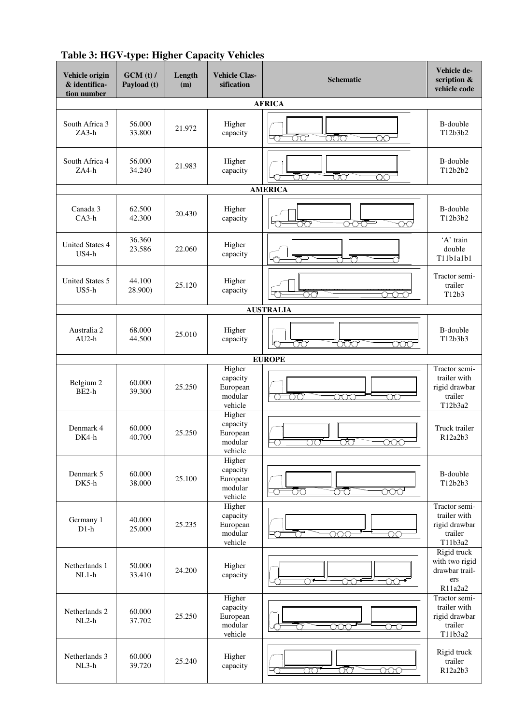| Vehicle origin<br>& identifica-<br>tion number | GCM(t)/<br>Payload (t) | Length<br>(m) | <b>Vehicle Clas-</b><br>sification                   | <b>Schematic</b>                                                              | Vehicle de-<br>scription &<br>vehicle code                                          |  |  |
|------------------------------------------------|------------------------|---------------|------------------------------------------------------|-------------------------------------------------------------------------------|-------------------------------------------------------------------------------------|--|--|
| <b>AFRICA</b>                                  |                        |               |                                                      |                                                                               |                                                                                     |  |  |
| South Africa 3<br>$ZA3-h$                      | 56.000<br>33.800       | 21.972        | Higher<br>capacity                                   | <u>ood</u><br>Ōσ<br>$\overline{\mathrm{O}\mathrm{O}}$<br>方                    | B-double<br>T12b3b2                                                                 |  |  |
| South Africa 4<br>$ZA4-h$                      | 56.000<br>34.240       | 21.983        | Higher<br>capacity                                   | ŌO<br>ŌO<br>$\infty$                                                          | B-double<br>T12b2b2                                                                 |  |  |
|                                                |                        |               |                                                      | <b>AMERICA</b>                                                                |                                                                                     |  |  |
| Canada 3<br>$CA3-h$                            | 62.500<br>42.300       | 20.430        | Higher<br>capacity                                   | ಹಾ<br><u>ටිටර</u>                                                             | B-double<br>T12b3b2                                                                 |  |  |
| <b>United States 4</b><br>US4-h                | 36.360<br>23.586       | 22.060        | Higher<br>capacity                                   | €                                                                             | 'A' train<br>double<br>T11b1a1b1                                                    |  |  |
| <b>United States 5</b><br>$US5-h$              | 44.100<br>28.900)      | 25.120        | Higher<br>capacity                                   | ೧೧<br><del>റ റ റ</del>                                                        | Tractor semi-<br>trailer<br>T12b3                                                   |  |  |
|                                                |                        |               |                                                      | <b>AUSTRALIA</b>                                                              |                                                                                     |  |  |
| Australia 2<br>$AU2-h$                         | 68.000<br>44.500       | 25.010        | Higher<br>capacity                                   | <u>ooo </u><br>σō<br>000                                                      | B-double<br>T12b3b3                                                                 |  |  |
|                                                |                        |               |                                                      | <b>EUROPE</b>                                                                 |                                                                                     |  |  |
| Belgium 2<br>$BE2-h$                           | 60.000<br>39.300       | 25.250        | Higher<br>capacity<br>European<br>modular<br>vehicle | ŌŌ<br>ooo<br>$\overline{\rm CO}$<br>-0                                        | Tractor semi-<br>trailer with<br>rigid drawbar<br>trailer<br>T12b3a2                |  |  |
| Denmark 4<br>$DK4-h$                           | 60.000<br>40.700       | 25.250        | Higher<br>capacity<br>European<br>modular<br>vehicle | ರಂ<br>$\overline{\rm CO}$<br>000                                              | Truck trailer<br>R12a2b3                                                            |  |  |
| Denmark 5<br>DK5-h                             | 60.000<br>38.000       | 25.100        | Higher<br>capacity<br>European<br>modular<br>vehicle | ŌO<br><u>ರ್</u><br><u>000'</u><br>∽                                           | B-double<br>T12b2b3                                                                 |  |  |
| Germany 1<br>$D1-h$                            | 40.000<br>25.000       | 25.235        | Higher<br>capacity<br>European<br>modular<br>vehicle | $\overline{\text{OOC}}$<br>$\infty$                                           | Tractor semi-<br>trailer with<br>rigid drawbar<br>trailer<br>T11b3a2<br>Rigid truck |  |  |
| Netherlands 1<br>$NL1-h$                       | 50.000<br>33.410       | 24.200        | Higher<br>capacity                                   | ో<br>೧೧್<br><del>00 '</del>                                                   | with two rigid<br>drawbar trail-<br>ers<br>R11a2a2                                  |  |  |
| Netherlands 2<br>$NL2-h$                       | 60.000<br>37.702       | 25.250        | Higher<br>capacity<br>European<br>modular<br>vehicle | ooc<br>OO                                                                     | Tractor semi-<br>trailer with<br>rigid drawbar<br>trailer<br>T11b3a2                |  |  |
| Netherlands 3<br>$NL3-h$                       | 60.000<br>39.720       | 25.240        | Higher<br>capacity                                   | <u>ರಂ</u><br>$\overline{\text{OO}^{\bullet}}$<br>$\overline{\text{OOO}}$<br>て | Rigid truck<br>trailer<br>R12a2b3                                                   |  |  |

**Table 3: HGV-type: Higher Capacity Vehicles**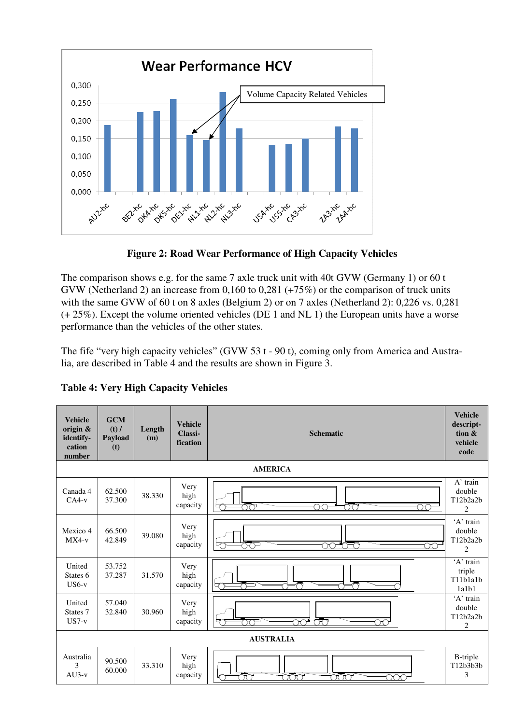

**Figure 2: Road Wear Performance of High Capacity Vehicles** 

The comparison shows e.g. for the same 7 axle truck unit with 40t GVW (Germany 1) or 60 t GVW (Netherland 2) an increase from 0,160 to 0,281 (+75%) or the comparison of truck units with the same GVW of 60 t on 8 axles (Belgium 2) or on 7 axles (Netherland 2): 0,226 vs. 0,281 (+ 25%). Except the volume oriented vehicles (DE 1 and NL 1) the European units have a worse performance than the vehicles of the other states.

The fife "very high capacity vehicles" (GVW 53 t - 90 t), coming only from America and Australia, are described in Table 4 and the results are shown in Figure 3.

| <b>Vehicle</b><br>origin &<br>identify-<br>cation<br>number | <b>GCM</b><br>$(t)$ /<br>Payload<br>(t) | Length<br>(m) | <b>Vehicle</b><br>Classi-<br>fication | <b>Schematic</b>                       | <b>Vehicle</b><br>descript-<br>tion &<br>vehicle<br>code |  |
|-------------------------------------------------------------|-----------------------------------------|---------------|---------------------------------------|----------------------------------------|----------------------------------------------------------|--|
|                                                             |                                         |               |                                       | <b>AMERICA</b>                         |                                                          |  |
| Canada 4<br>$CA4-v$                                         | 62.500<br>37.300                        | 38.330        | Very<br>high<br>capacity              | ೧೧<br>᠇<br>M<br>70<br>OO               | $A'$ train<br>double<br>T12b2a2b<br>$\overline{2}$       |  |
| Mexico 4<br>$MX4-v$                                         | 66.500<br>42.849                        | 39.080        | Very<br>high<br>capacity              | ಕರ್<br>ററ<br>*೧೯೧<br>$\infty$          | 'A' train<br>double<br>T12b2a2b<br>$\overline{2}$        |  |
| United<br>States 6<br>$US6-v$                               | 53.752<br>37.287                        | 31.570        | Very<br>high<br>capacity              | 内                                      | 'A' train<br>triple<br>T11b1a1b<br>1a1b1                 |  |
| United<br>States 7<br>$US7-v$                               | 57.040<br>32.840                        | 30.960        | Very<br>high<br>capacity              | ಹ್ ಕಾ<br>ಗಿಗ್<br>ಂ<br>~                | 'A' train<br>double<br>T12b2a2b<br>$\overline{c}$        |  |
| <b>AUSTRALIA</b>                                            |                                         |               |                                       |                                        |                                                          |  |
| Australia<br>3<br>$AU3-v$                                   | 90.500<br>60.000                        | 33.310        | Very<br>high<br>capacity              | ನೆಗೆಗ<br><u>ಹಂ</u><br>ುರಿಂ<br>∽<br>ooo | <b>B-triple</b><br>T12b3b3b<br>3                         |  |

**Table 4: Very High Capacity Vehicles**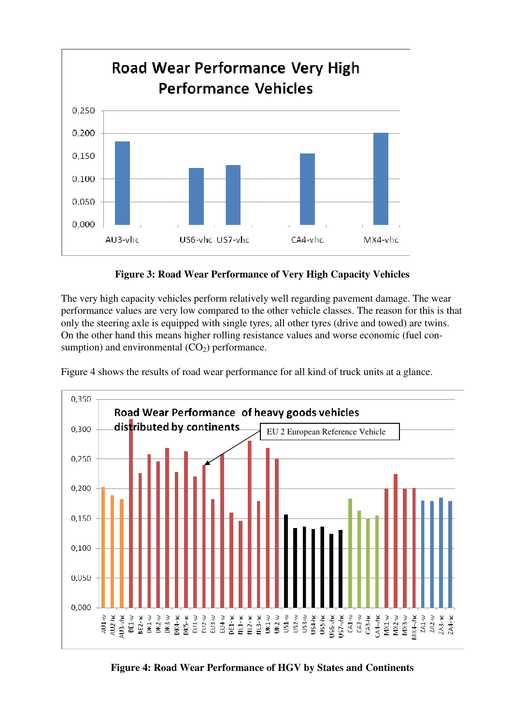

**Figure 3: Road Wear Performance of Very High Capacity Vehicles** 

The very high capacity vehicles perform relatively well regarding pavement damage. The wear performance values are very low compared to the other vehicle classes. The reason for this is that only the steering axle is equipped with single tyres, all other tyres (drive and towed) are twins. On the other hand this means higher rolling resistance values and worse economic (fuel consumption) and environmental  $(CO<sub>2</sub>)$  performance.



Figure 4 shows the results of road wear performance for all kind of truck units at a glance.

**Figure 4: Road Wear Performance of HGV by States and Continents**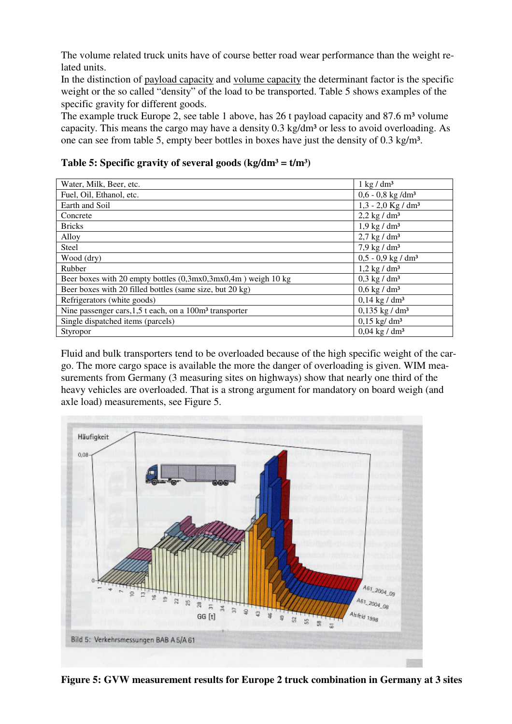The volume related truck units have of course better road wear performance than the weight related units.

In the distinction of payload capacity and volume capacity the determinant factor is the specific weight or the so called "density" of the load to be transported. Table 5 shows examples of the specific gravity for different goods.

The example truck Europe 2, see table 1 above, has 26 t payload capacity and  $87.6 \text{ m}^3$  volume capacity. This means the cargo may have a density 0.3 kg/dm<sup>3</sup> or less to avoid overloading. As one can see from table 5, empty beer bottles in boxes have just the density of 0.3 kg/m<sup>3</sup>.

|  | Table 5: Specific gravity of several goods (kg/dm <sup>3</sup> = $t/m3$ ) |  |  |
|--|---------------------------------------------------------------------------|--|--|
|  |                                                                           |  |  |

| Water, Milk, Beer, etc.                                         | $1 \text{ kg} / \text{dm}^3$     |
|-----------------------------------------------------------------|----------------------------------|
| Fuel, Oil, Ethanol, etc.                                        | $0,6 - 0,8$ kg /dm <sup>3</sup>  |
| Earth and Soil                                                  | $1,3 - 2,0$ Kg / dm <sup>3</sup> |
| Concrete                                                        | $2,2$ kg / dm <sup>3</sup>       |
| <b>Bricks</b>                                                   | $1.9$ kg / dm <sup>3</sup>       |
| Alloy                                                           | $2.7 \text{ kg} / \text{dm}^3$   |
| Steel                                                           | $7,9$ kg / dm <sup>3</sup>       |
| Wood (dry)                                                      | $0,5 - 0,9$ kg / dm <sup>3</sup> |
| Rubber                                                          | $1,2$ kg / dm <sup>3</sup>       |
| Beer boxes with 20 empty bottles $(0,3mx0,3mx0,4m)$ weigh 10 kg | $0,3$ kg / dm <sup>3</sup>       |
| Beer boxes with 20 filled bottles (same size, but 20 kg)        | $0.6$ kg / dm <sup>3</sup>       |
| Refrigerators (white goods)                                     | $0,14$ kg / dm <sup>3</sup>      |
| Nine passenger cars, $1,5$ t each, on a $100m3$ transporter     | $0,135$ kg / dm <sup>3</sup>     |
| Single dispatched items (parcels)                               | $0,15$ kg/ dm <sup>3</sup>       |
| Styropor                                                        | $0,04$ kg / dm <sup>3</sup>      |

Fluid and bulk transporters tend to be overloaded because of the high specific weight of the cargo. The more cargo space is available the more the danger of overloading is given. WIM measurements from Germany (3 measuring sites on highways) show that nearly one third of the heavy vehicles are overloaded. That is a strong argument for mandatory on board weigh (and axle load) measurements, see Figure 5.



**Figure 5: GVW measurement results for Europe 2 truck combination in Germany at 3 sites**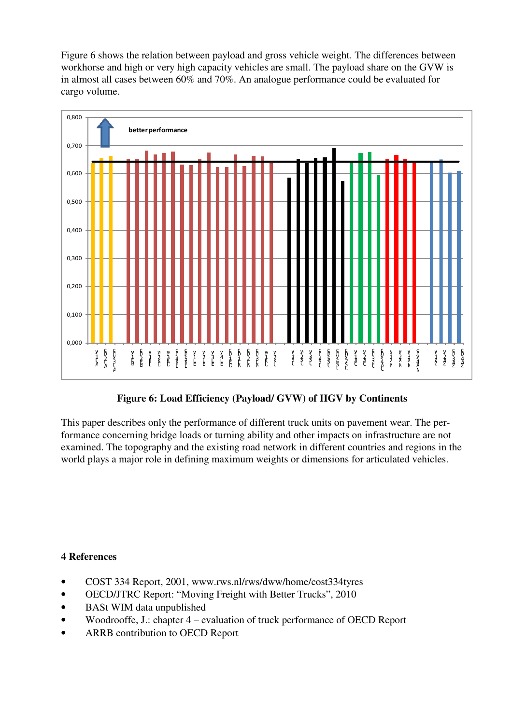Figure 6 shows the relation between payload and gross vehicle weight. The differences between workhorse and high or very high capacity vehicles are small. The payload share on the GVW is in almost all cases between 60% and 70%. An analogue performance could be evaluated for cargo volume.



# **Figure 6: Load Efficiency (Payload/ GVW) of HGV by Continents**

This paper describes only the performance of different truck units on pavement wear. The performance concerning bridge loads or turning ability and other impacts on infrastructure are not examined. The topography and the existing road network in different countries and regions in the world plays a major role in defining maximum weights or dimensions for articulated vehicles.

### **4 References**

- COST 334 Report, 2001, www.rws.nl/rws/dww/home/cost334tyres
- OECD/JTRC Report: "Moving Freight with Better Trucks", 2010
- BASt WIM data unpublished
- Woodrooffe, J.: chapter 4 evaluation of truck performance of OECD Report
- ARRB contribution to OECD Report